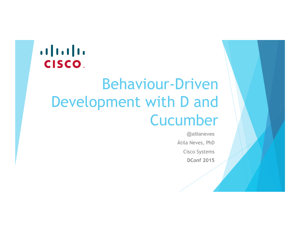## **CISCO**

# Behaviour-Driven Development with D and Cucumber

@atilaneves Átila Neves, PhD Cisco Systems **DConf 2015**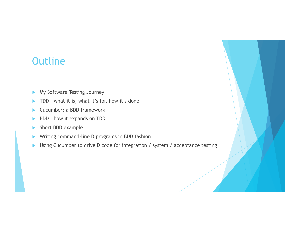### **Outline**

- **My Software Testing Journey**
- TDD what it is, what it's for, how it's done
- **Exercise 2** Cucumber: a BDD framework
- **BDD** how it expands on TDD
- **In Short BDD example**
- ! Writing command-line D programs in BDD fashion
- ! Using Cucumber to drive D code for integration / system / acceptance testing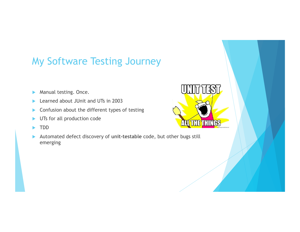### My Software Testing Journey

- **Manual testing. Once.**
- Learned about JUnit and UTs in 2003
- Confusion about the different types of testing
- UTs for all production code
- ! TDD
- ! Automated defect discovery of **unit-testable** code, but other bugs still emerging

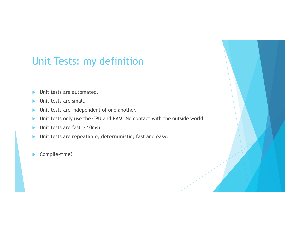### Unit Tests: my definition

- $\blacktriangleright$  Unit tests are automated.
- $\blacktriangleright$  Unit tests are small.
- $\triangleright$  Unit tests are independent of one another.
- Init tests only use the CPU and RAM. No contact with the outside world.
- $\blacktriangleright$  Unit tests are fast (<10ms).
- ! Unit tests are **repeatable**, **deterministic**, **fast** and **easy**.
- Compile-time?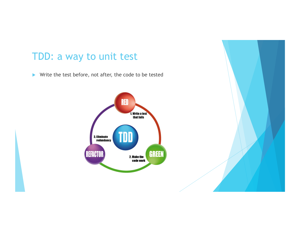### TDD: a way to unit test

 $\blacktriangleright$  Write the test before, not after, the code to be tested

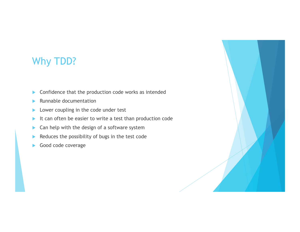### Why TDD?

- $\triangleright$  Confidence that the production code works as intended
- $\blacktriangleright$  Runnable documentation
- **Lower coupling in the code under test**
- $\blacktriangleright$  It can often be easier to write a test than production code
- $\blacktriangleright$  Can help with the design of a software system
- $\blacktriangleright$  Reduces the possibility of bugs in the test code
- Good code coverage

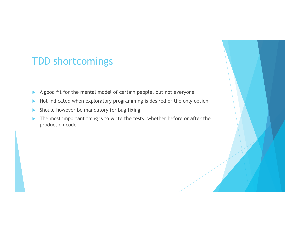### TDD shortcomings

- $\blacktriangleright$  A good fit for the mental model of certain people, but not everyone
- I Not indicated when exploratory programming is desired or the only option
- $\blacktriangleright$  Should however be mandatory for bug fixing
- $\blacktriangleright$  The most important thing is to write the tests, whether before or after the production code

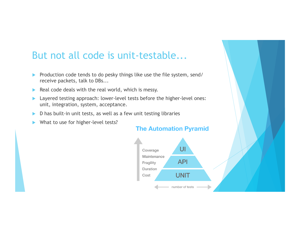### But not all code is unit-testable...

- ! Production code tends to do pesky things like use the file system, send/ receive packets, talk to DBs...
- $\triangleright$  Real code deals with the real world, which is messy.
- **EXECUTE:** Layered testing approach: lower-level tests before the higher-level ones: unit, integration, system, acceptance.
- $\triangleright$  D has built-in unit tests, as well as a few unit testing libraries
- **IN What to use for higher-level tests?**

#### **The Automation Pyramid**

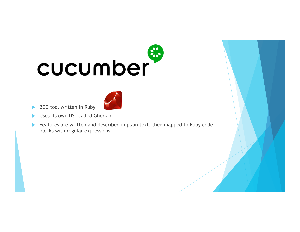# 8 cucumber



- **BDD** tool written in Ruby
- Uses its own DSL called Gherkin
- **EXEC** Features are written and described in plain text, then mapped to Ruby code blocks with regular expressions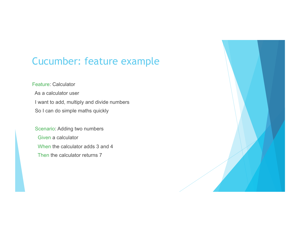### Cucumber: feature example

#### Feature: Calculator

 As a calculator user I want to add, multiply and divide numbers So I can do simple maths quickly

 Scenario: Adding two numbers Given a calculator When the calculator adds 3 and 4 Then the calculator returns 7

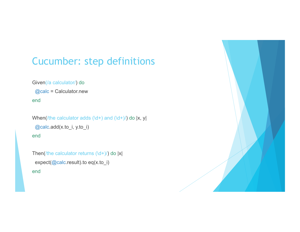### Cucumber: step definitions

#### Given(/a calculator/) do

@calc = Calculator.new

end

```
When(/the calculator adds (\dagger +) and (\dagger +)/) do \lceil x, y \rceil @calc.add(x.to_i, y.to_i) 
end
```

```
Then(/the calculator returns (\dagger +)/) do |x|
  expect(@calc.result).to eq(x.to_i) 
end
```
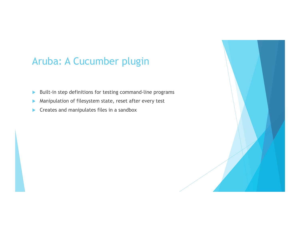### Aruba: A Cucumber plugin

- $\blacktriangleright$  Built-in step definitions for testing command-line programs
- ! Manipulation of filesystem state, reset after every test
- $\blacktriangleright$  Creates and manipulates files in a sandbox

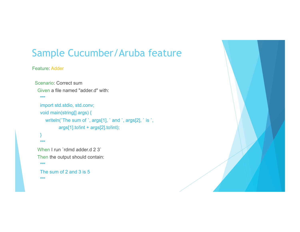### Sample Cucumber/Aruba feature

#### Feature: Adder

```
 Scenario: Correct sum 
   Given a file named "adder.d" with: 
   """"
    import std.stdio, std.conv; 
    void main(string[] args) { 
      writeln(`The sum of `, args[1], ` and `, args[2], ` is `,
              args[1].to!int + args[2].to!int); 
 } 
   "''"When I run `rdmd adder.d 2 3`
   Then the output should contain:
```

```
"''"
```
 The sum of 2 and 3 is 5 """

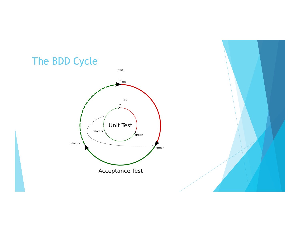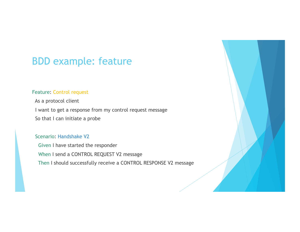### BDD example: feature

#### Feature: Control request

 As a protocol client I want to get a response from my control request message So that I can initiate a probe

#### Scenario: Handshake V2

 Given I have started the responder When I send a CONTROL REQUEST V2 message Then I should successfully receive a CONTROL RESPONSE V2 message

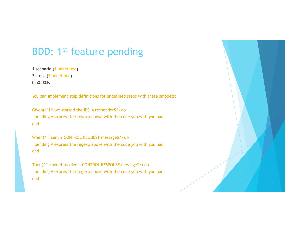### BDD: 1st feature pending

1 scenario (1 undefined) 3 steps (3 undefined) 0m0.003s

You can implement step definitions for undefined steps with these snippets:

Given(/^I have started the IPSLA responder\$/) do pending # express the regexp above with the code you wish you had end

When(/^I sent a CONTROL REQUEST message\$/) do pending # express the regexp above with the code you wish you had end

Then(/^I should receive a CONTROL RESPONSE message\$/) do pending # express the regexp above with the code you wish you had end

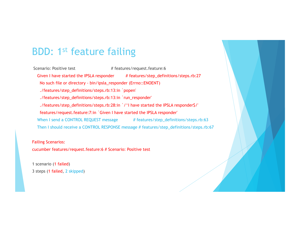### BDD: 1st feature failing

Scenario: Positive test # features/request.feature:6 Given I have started the IPSLA responder # features/step\_definitions/steps.rb:27 No such file or directory - bin/ipsla\_responder (Errno::ENOENT) ./features/step\_definitions/steps.rb:13:in `popen' ./features/step\_definitions/steps.rb:13:in `run\_responder' ./features/step\_definitions/steps.rb:28:in `/^I have started the IPSLA responder\$/' features/request.feature:7:in `Given I have started the IPSLA responder' When I send a CONTROL REQUEST message # features/step\_definitions/steps.rb:63 Then I should receive a CONTROL RESPONSE message # features/step\_definitions/steps.rb:67

Failing Scenarios: cucumber features/request.feature:6 # Scenario: Positive test

1 scenario (1 failed) 3 steps (1 failed, 2 skipped)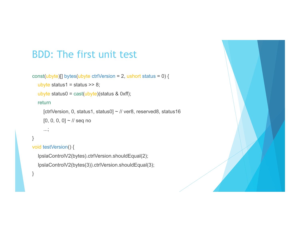### BDD: The first unit test

```
const(ubyte)[] bytes(ubyte ctrlVersion = 2, ushort status = 0) {
```

```
ubyte status1 = status >> 8;
```

```
ubyte status0 = \text{cast}(\text{ubyte})(status & 0xff);
```
#### return

...;

 [ctrlVersion, 0, status1, status0] ~ // ver8, reserved8, status16  $[0, 0, 0, 0]$  ~ // seq no

#### }

```
void testVersion() {
```
 IpslaControlV2(bytes).ctrlVersion.shouldEqual(2); IpslaControlV2(bytes(3)).ctrlVersion.shouldEqual(3);

}

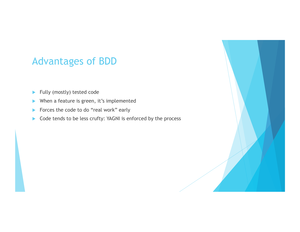### Advantages of BDD

- $\blacktriangleright$  Fully (mostly) tested code
- $\blacktriangleright$  When a feature is green, it's implemented
- **IF Forces the code to do "real work" early**
- ▶ Code tends to be less crufty: YAGNI is enforced by the process

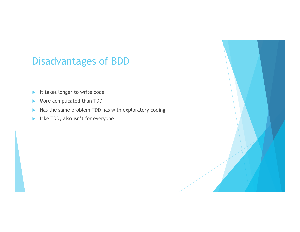### Disadvantages of BDD

- $\blacktriangleright$  It takes longer to write code
- **More complicated than TDD**
- $\blacktriangleright$  Has the same problem TDD has with exploratory coding
- $\blacktriangleright$  Like TDD, also isn't for everyone

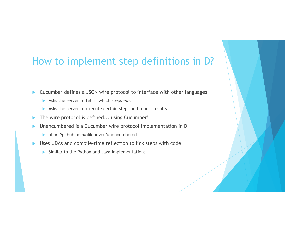### How to implement step definitions in D?

! Cucumber defines a JSON wire protocol to interface with other languages

- $\triangleright$  Asks the server to tell it which steps exist
- Asks the server to execute certain steps and report results
- The wire protocol is defined... using Cucumber!
- ! Unencumbered is a Cucumber wire protocol implementation in D
	- ! https://github.com/atilaneves/unencumbered
- Uses UDAs and compile-time reflection to link steps with code
	- $\triangleright$  Similar to the Python and Java implementations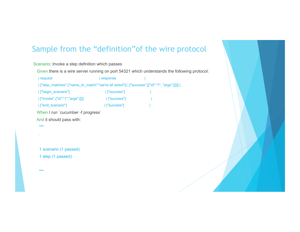### Sample from the "definition"of the wire protocol

| response    |                                   |                                                                                                                                                                                                                                                 |
|-------------|-----------------------------------|-------------------------------------------------------------------------------------------------------------------------------------------------------------------------------------------------------------------------------------------------|
|             |                                   |                                                                                                                                                                                                                                                 |
| ["success"] |                                   |                                                                                                                                                                                                                                                 |
| ["success"] |                                   |                                                                                                                                                                                                                                                 |
| ["success"] |                                   |                                                                                                                                                                                                                                                 |
|             |                                   |                                                                                                                                                                                                                                                 |
|             |                                   |                                                                                                                                                                                                                                                 |
|             |                                   |                                                                                                                                                                                                                                                 |
|             |                                   |                                                                                                                                                                                                                                                 |
|             |                                   |                                                                                                                                                                                                                                                 |
|             |                                   |                                                                                                                                                                                                                                                 |
|             |                                   |                                                                                                                                                                                                                                                 |
|             |                                   |                                                                                                                                                                                                                                                 |
|             |                                   |                                                                                                                                                                                                                                                 |
|             |                                   |                                                                                                                                                                                                                                                 |
|             |                                   |                                                                                                                                                                                                                                                 |
|             | When I run 'cucumber -f progress' | Scenario: Invoke a step definition which passes<br>Given there is a wire server running on port 54321 which understands the following protocol:<br>  ["step_matches",{"name_to_match":"we're all wired"}]   ["success",[{"id":"1", "args":[]}]] |

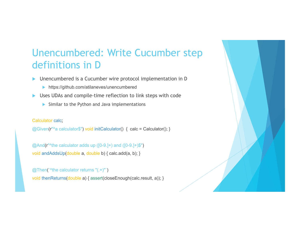### Unencumbered: Write Cucumber step definitions in D

- ! Unencumbered is a Cucumber wire protocol implementation in D
	- ! https://github.com/atilaneves/unencumbered
- Uses UDAs and compile-time reflection to link steps with code
	- $\triangleright$  Similar to the Python and Java implementations

#### Calculator calc;

@Given(r<sup>"^</sup>a calculator\$") void initCalculator() { calc = Calculator(); }

 $@And(f'''$  the calculator adds up ([0-9.]+) and ([0-9.]+)\$") void andAddsUp(double a, double b) { calc.add(a, b); }

 $@$ Then(`^the calculator returns " $(.+)$ "`) void thenReturns(double a) { assert(closeEnough(calc.result, a)); }

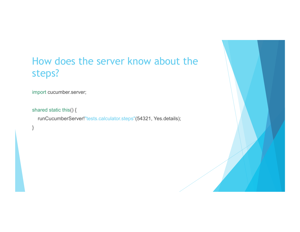### How does the server know about the steps?

import cucumber.server;

```
shared static this() {
```
}

runCucumberServer!"tests.calculator.steps"(54321, Yes.details);

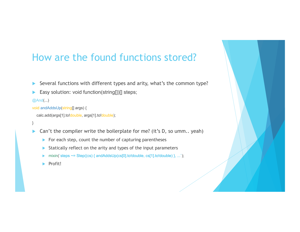### How are the found functions stored?

- Several functions with different types and arity, what's the common type?
- Easy solution: void function(string[])[] steps;

@And(...)

```
void andAddsUp(string[] args) {
```

```
 calc.add(args[1].to!double, args[1].to!double);
```

```
}
```
- $\triangleright$  Can't the compiler write the boilerplate for me? (it's D, so umm.. yeah)
	- $\blacktriangleright$  For each step, count the number of capturing parentheses
	- Statically reflect on the arity and types of the input parameters
	- $\text{mixin}(\text{steps} \sim = \text{Step}((\text{cs}) \{ \text{andAddsUp}(\text{cs}[0].\text{to}! \text{double}, \text{cs}[1].\text{to}! \text{double}) \}, \dots);$
	- ! Profit!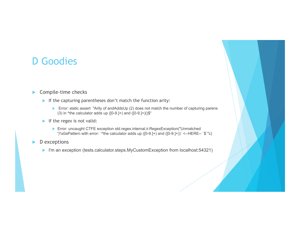### D Goodies

#### $\blacktriangleright$  Compile-time checks

- If the capturing parentheses don't match the function arity:
	- ▶ Error: static assert "Arity of andAddsUp (2) does not match the number of capturing parens (3) in  $\text{A}$ the calculator adds up ([0-9.]+) and ([0-9.]+)()\$"
- If the regex is not valid:
	- ! Error: uncaught CTFE exception std.regex.internal.ir.RegexException("Unmatched ')'\x0aPattern with error: `^the calculator adds up ( $[0-9.]+$ ) and  $([0-9.]+)$ )` <--HERE-- `\$`"c)
- $\blacktriangleright$  D exceptions
	- ▶ I'm an exception (tests.calculator.steps.MyCustomException from localhost:54321)